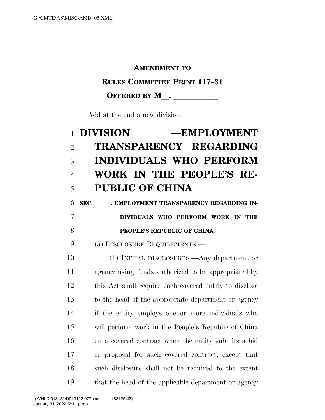### **AMENDMENT TO**

### **RULES COMMITTEE PRINT 117–31**

## OFFERED BY M<sub>\_\_</sub>. \_\_\_\_\_\_\_\_\_\_\_

Add at the end a new division:

# **DIVISION** ll**—EMPLOYMENT TRANSPARENCY REGARDING INDIVIDUALS WHO PERFORM WORK IN THE PEOPLE'S RE-PUBLIC OF CHINA**

# 6 SEC. BMPLOYMENT TRANSPARENCY REGARDING IN- **DIVIDUALS WHO PERFORM WORK IN THE PEOPLE'S REPUBLIC OF CHINA.**

## (a) DISCLOSURE REQUIREMENTS.—

 (1) INITIAL DISCLOSURES.—Any department or agency using funds authorized to be appropriated by this Act shall require each covered entity to disclose to the head of the appropriate department or agency if the entity employs one or more individuals who will perform work in the People's Republic of China on a covered contract when the entity submits a bid or proposal for such covered contract, except that such disclosure shall not be required to the extent that the head of the applicable department or agency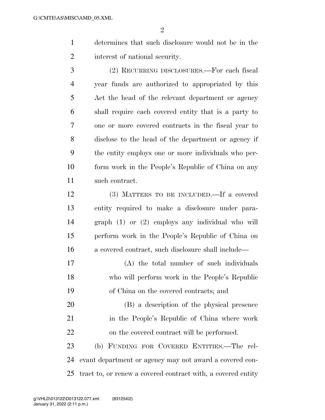- determines that such disclosure would not be in the interest of national security.
- (2) RECURRING DISCLOSURES.—For each fiscal year funds are authorized to appropriated by this Act the head of the relevant department or agency shall require each covered entity that is a party to one or more covered contracts in the fiscal year to disclose to the head of the department or agency if the entity employs one or more individuals who per- form work in the People's Republic of China on any such contract.
- (3) MATTERS TO BE INCLUDED.—If a covered entity required to make a disclosure under para- graph (1) or (2) employs any individual who will perform work in the People's Republic of China on a covered contract, such disclosure shall include—
- (A) the total number of such individuals who will perform work in the People's Republic of China on the covered contracts; and
- (B) a description of the physical presence in the People's Republic of China where work on the covered contract will be performed.

 (b) FUNDING FOR COVERED ENTITIES.—The rel- evant department or agency may not award a covered con-tract to, or renew a covered contract with, a covered entity